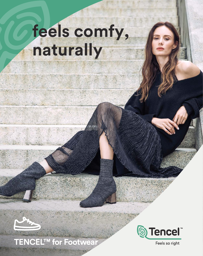# **feels comfy, naturally**

## **TENCEL™ for Footwear**



Feels so right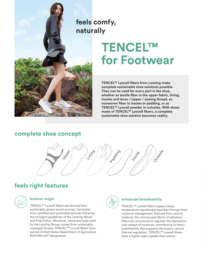

## **TENCEL™ for Footwear**

**TENCEL™ Lyocell fibers from Lenzing make complete sustainable shoe solutions possible. They can be used for every part in the shoe,**  whether as textile fiber in the upper fabric, lining, **insoles and laces / zipper / sewing thread, as nonwoven ber in insoles or padding, or as TENCEL™ Lyocell powder in outsoles. With shoes**  made of TENCEL<sup>™</sup> Lyocell fibers, a complete **sustainable shoe solution becomes reality.**

### **complete shoe concept**



## **feels right features**



#### **botanic origin**

TENCEL™ Lyocell fibers are derived from sustainably grown wood sources, harvested from certified and controlled sources following the stringent guidelines of the Lenzing Wood and Pulp Policy. Moreover, wood and pulp used by the Lenzing Group comes from sustainably managed forests. TENCEL™ Lyocell fibers have earned United States Department of Agriculture BioPreferred® designation.



#### **enhanced breathability**

TENCEL™ Lyocell fibers support body temperature regulating properties through their moisture management. Derived from natural material, the microscopic fibrils of cellulosic bers are structured to regulate the absorption and release of moisture, contributing to fabric breathability that supports the body's natural thermal regulation. TENCEL™ Lyocell fibers have a higher vapor uptake than cotton.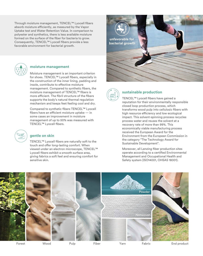Through moisture management, TENCEL™ Lyocell fibers absorb moisture efficiently, as measured by the Vapor Uptake test and Water Retention Value. In comparison to polyester and synthetics, there is less available moisture formed on the surface of the fiber for bacteria to grow. Consequently, TENCEL™ Lyocell fibers provide a less favorable environment for bacterial growth.

> TENCEL™ Lyocell fibers are naturally soft to the touch and offer long-lasting comfort. When viewed under an electron microscope, TENCEL™ Lyocell fibers exhibit a smooth surface area, giving fabrics a soft feel and ensuring comfort for

Moisture management is an important criterion

management. Compared to synthetic fibers, the moisture management of TENCEL™ fibers is more efficient. The fibril structure of the fibers supports the body's natural thermal regulation mechanism and keeps feet feeling cool and dry. Compared to synthetic fibers TENCEL™ Lyocell  $fibers$  have an efficient moisture uptake  $-$  in some cases an improvement in moisture management of up to 50% was measured with

insole, contribute to effective moisture

**moisture management**

sensitive skin.

**gentle on skin**

TENCEL™ Lyocell fibers.





#### **sustainable production**

TENCEL™ Lyocell fibers have gained a reputation for their environmentally responsible closed loop production process, which transforms wood pulp into cellulosic fibers with high resource efficiency and low ecological impact. This solvent-spinning process recycles process water and reuses the solvent at a recovery rate of more than 99%. This economically viable manufacturing process received the European Award for the Environment from the European Commission in the category "The Technology Award for Sustainable Development".

Moreover, all Lenzing fiber production sites operate according to a certified Environmental Management and Occupational Health and Safety system (ISO14001, OHSAS 18001).